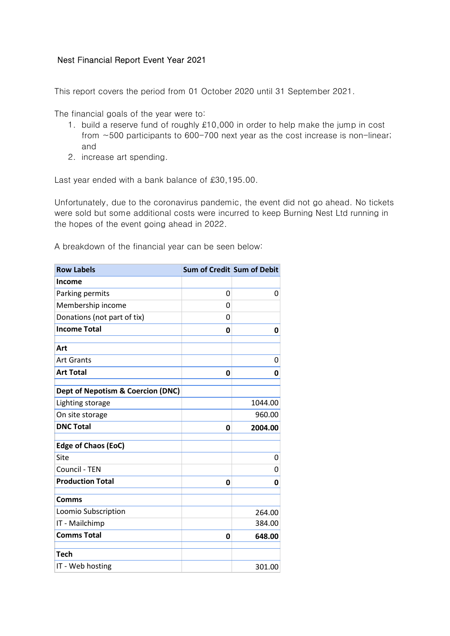## Nest Financial Report Event Year 2021

This report covers the period from 01 October 2020 until 31 September 2021.

The financial goals of the year were to:

- 1. build a reserve fund of roughly £10,000 in order to help make the jump in cost from ~500 participants to 600-700 next year as the cost increase is non-linear; and
- 2. increase art spending.

Last year ended with a bank balance of £30,195.00.

Unfortunately, due to the coronavirus pandemic, the event did not go ahead. No tickets were sold but some additional costs were incurred to keep Burning Nest Ltd running in the hopes of the event going ahead in 2022.

A breakdown of the financial year can be seen below:

| <b>Row Labels</b>                            | Sum of Credit Sum of Debit |         |
|----------------------------------------------|----------------------------|---------|
| Income                                       |                            |         |
| Parking permits                              | 0                          | 0       |
| Membership income                            | 0                          |         |
| Donations (not part of tix)                  | 0                          |         |
| <b>Income Total</b>                          | 0                          | 0       |
| Art                                          |                            |         |
| <b>Art Grants</b>                            |                            | 0       |
| <b>Art Total</b>                             | 0                          | 0       |
| <b>Dept of Nepotism &amp; Coercion (DNC)</b> |                            |         |
| Lighting storage                             |                            | 1044.00 |
| On site storage                              |                            | 960.00  |
| <b>DNC Total</b>                             | 0                          | 2004.00 |
| <b>Edge of Chaos (EoC)</b>                   |                            |         |
| Site                                         |                            | 0       |
| Council - TEN                                |                            | 0       |
| <b>Production Total</b>                      | 0                          | 0       |
| Comms                                        |                            |         |
| Loomio Subscription                          |                            | 264.00  |
| IT - Mailchimp                               |                            | 384.00  |
| <b>Comms Total</b>                           | 0                          | 648.00  |
| <b>Tech</b>                                  |                            |         |
| IT - Web hosting                             |                            | 301.00  |